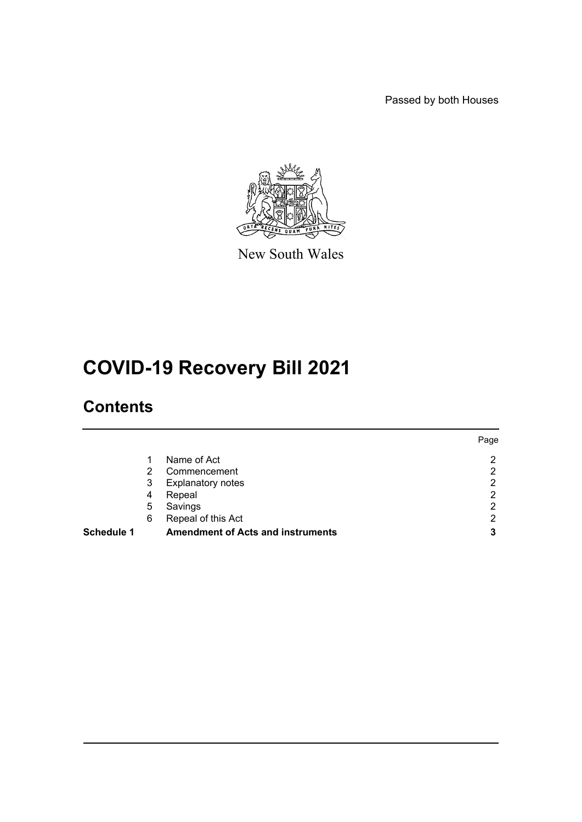Passed by both Houses



New South Wales

# **COVID-19 Recovery Bill 2021**

# **Contents**

|            |   |                                          | Page |
|------------|---|------------------------------------------|------|
|            |   | Name of Act                              | 2    |
|            | 2 | Commencement                             | 2    |
|            | 3 | <b>Explanatory notes</b>                 | ົ    |
|            | 4 | Repeal                                   | റ    |
|            | 5 | Savings                                  | റ    |
|            | 6 | Repeal of this Act                       | າ    |
| Schedule 1 |   | <b>Amendment of Acts and instruments</b> | 3    |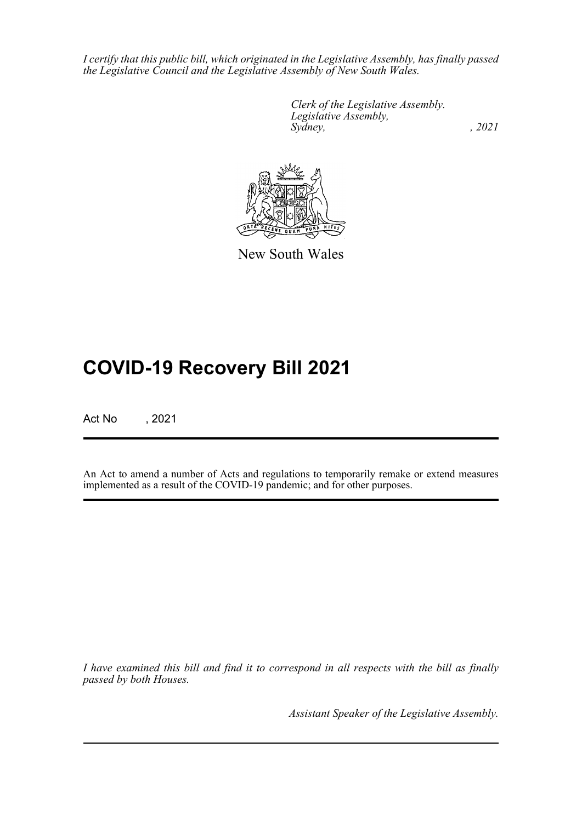*I certify that this public bill, which originated in the Legislative Assembly, has finally passed the Legislative Council and the Legislative Assembly of New South Wales.*

> *Clerk of the Legislative Assembly. Legislative Assembly, Sydney, , 2021*



New South Wales

# **COVID-19 Recovery Bill 2021**

Act No , 2021

An Act to amend a number of Acts and regulations to temporarily remake or extend measures implemented as a result of the COVID-19 pandemic; and for other purposes.

*I have examined this bill and find it to correspond in all respects with the bill as finally passed by both Houses.*

*Assistant Speaker of the Legislative Assembly.*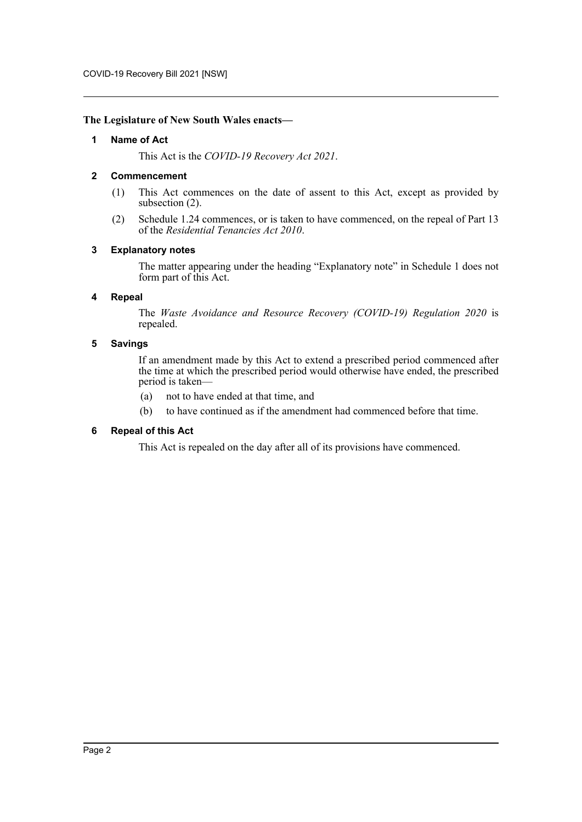#### <span id="page-2-0"></span>**The Legislature of New South Wales enacts—**

#### **1 Name of Act**

This Act is the *COVID-19 Recovery Act 2021*.

#### <span id="page-2-1"></span>**2 Commencement**

- (1) This Act commences on the date of assent to this Act, except as provided by subsection (2).
- (2) Schedule 1.24 commences, or is taken to have commenced, on the repeal of Part 13 of the *Residential Tenancies Act 2010*.

#### <span id="page-2-2"></span>**3 Explanatory notes**

The matter appearing under the heading "Explanatory note" in Schedule 1 does not form part of this Act.

#### <span id="page-2-3"></span>**4 Repeal**

The *Waste Avoidance and Resource Recovery (COVID-19) Regulation 2020* is repealed.

#### <span id="page-2-4"></span>**5 Savings**

If an amendment made by this Act to extend a prescribed period commenced after the time at which the prescribed period would otherwise have ended, the prescribed period is taken—

- (a) not to have ended at that time, and
- (b) to have continued as if the amendment had commenced before that time.

## <span id="page-2-5"></span>**6 Repeal of this Act**

This Act is repealed on the day after all of its provisions have commenced.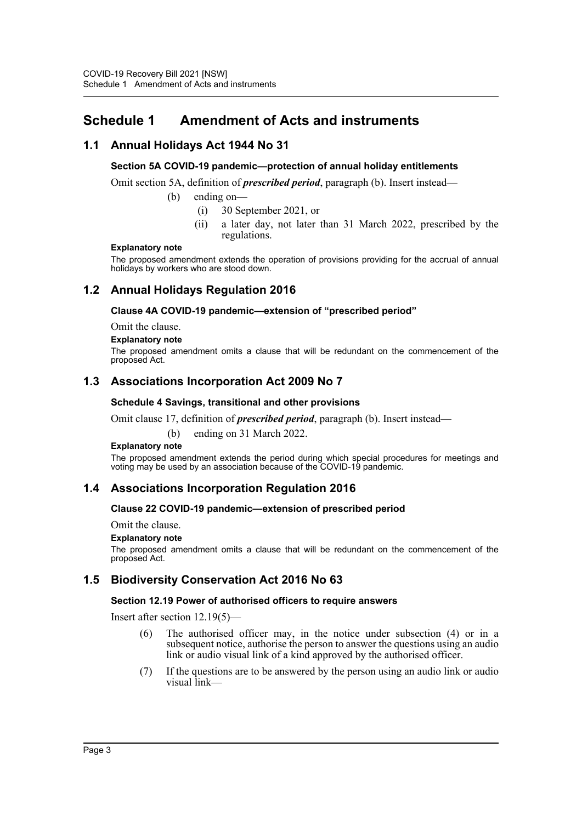# <span id="page-3-0"></span>**Schedule 1 Amendment of Acts and instruments**

# **1.1 Annual Holidays Act 1944 No 31**

## **Section 5A COVID-19 pandemic—protection of annual holiday entitlements**

Omit section 5A, definition of *prescribed period*, paragraph (b). Insert instead—

- (b) ending on—
	- (i) 30 September 2021, or
	- (ii) a later day, not later than 31 March 2022, prescribed by the regulations.

#### **Explanatory note**

The proposed amendment extends the operation of provisions providing for the accrual of annual holidays by workers who are stood down.

# **1.2 Annual Holidays Regulation 2016**

**Clause 4A COVID-19 pandemic—extension of "prescribed period"**

Omit the clause.

#### **Explanatory note**

The proposed amendment omits a clause that will be redundant on the commencement of the proposed Act.

# **1.3 Associations Incorporation Act 2009 No 7**

#### **Schedule 4 Savings, transitional and other provisions**

Omit clause 17, definition of *prescribed period*, paragraph (b). Insert instead—

(b) ending on 31 March 2022.

#### **Explanatory note**

The proposed amendment extends the period during which special procedures for meetings and voting may be used by an association because of the COVID-19 pandemic.

# **1.4 Associations Incorporation Regulation 2016**

## **Clause 22 COVID-19 pandemic—extension of prescribed period**

Omit the clause.

#### **Explanatory note**

The proposed amendment omits a clause that will be redundant on the commencement of the proposed Act.

# **1.5 Biodiversity Conservation Act 2016 No 63**

## **Section 12.19 Power of authorised officers to require answers**

Insert after section 12.19(5)—

- (6) The authorised officer may, in the notice under subsection (4) or in a subsequent notice, authorise the person to answer the questions using an audio link or audio visual link of a kind approved by the authorised officer.
- (7) If the questions are to be answered by the person using an audio link or audio visual link—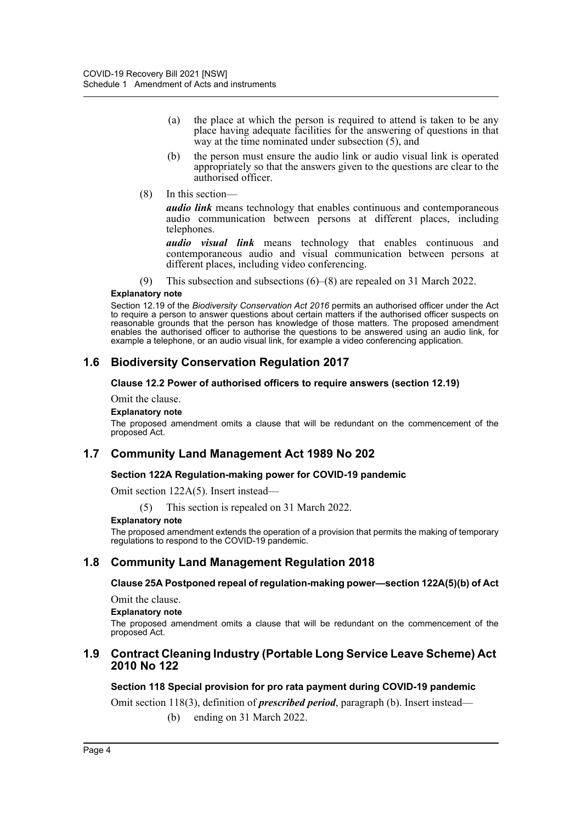- (a) the place at which the person is required to attend is taken to be any place having adequate facilities for the answering of questions in that way at the time nominated under subsection (5), and
- (b) the person must ensure the audio link or audio visual link is operated appropriately so that the answers given to the questions are clear to the authorised officer.
- (8) In this section—

*audio link* means technology that enables continuous and contemporaneous audio communication between persons at different places, including telephones.

*audio visual link* means technology that enables continuous and contemporaneous audio and visual communication between persons at different places, including video conferencing.

(9) This subsection and subsections (6)–(8) are repealed on 31 March 2022.

#### **Explanatory note**

Section 12.19 of the *Biodiversity Conservation Act 2016* permits an authorised officer under the Act to require a person to answer questions about certain matters if the authorised officer suspects on reasonable grounds that the person has knowledge of those matters. The proposed amendment enables the authorised officer to authorise the questions to be answered using an audio link, for example a telephone, or an audio visual link, for example a video conferencing application.

# **1.6 Biodiversity Conservation Regulation 2017**

#### **Clause 12.2 Power of authorised officers to require answers (section 12.19)**

Omit the clause.

#### **Explanatory note**

The proposed amendment omits a clause that will be redundant on the commencement of the proposed Act.

## **1.7 Community Land Management Act 1989 No 202**

## **Section 122A Regulation-making power for COVID-19 pandemic**

Omit section 122A(5). Insert instead—

(5) This section is repealed on 31 March 2022.

#### **Explanatory note**

The proposed amendment extends the operation of a provision that permits the making of temporary regulations to respond to the COVID-19 pandemic.

## **1.8 Community Land Management Regulation 2018**

## **Clause 25A Postponed repeal of regulation-making power—section 122A(5)(b) of Act**

Omit the clause.

**Explanatory note**

The proposed amendment omits a clause that will be redundant on the commencement of the proposed Act.

## **1.9 Contract Cleaning Industry (Portable Long Service Leave Scheme) Act 2010 No 122**

## **Section 118 Special provision for pro rata payment during COVID-19 pandemic**

Omit section 118(3), definition of *prescribed period*, paragraph (b). Insert instead— (b) ending on 31 March 2022.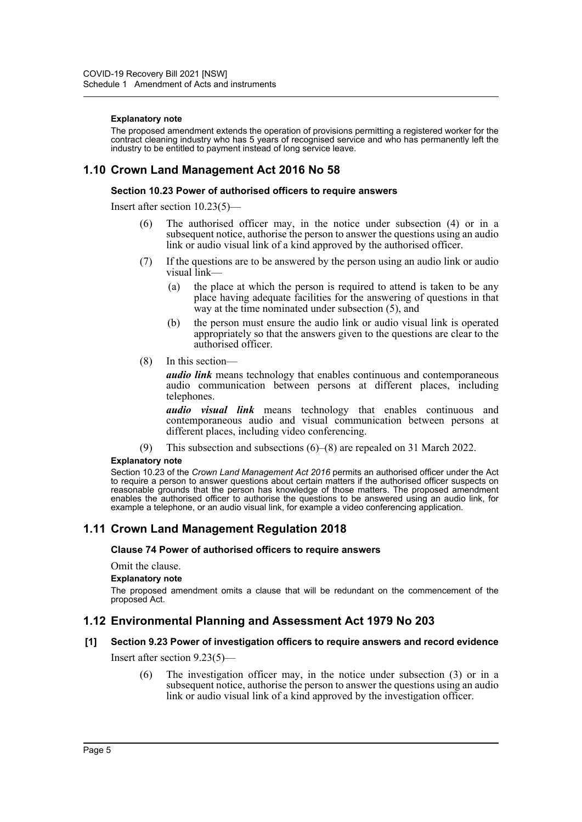#### **Explanatory note**

The proposed amendment extends the operation of provisions permitting a registered worker for the contract cleaning industry who has 5 years of recognised service and who has permanently left the industry to be entitled to payment instead of long service leave.

# **1.10 Crown Land Management Act 2016 No 58**

#### **Section 10.23 Power of authorised officers to require answers**

Insert after section 10.23(5)—

- (6) The authorised officer may, in the notice under subsection (4) or in a subsequent notice, authorise the person to answer the questions using an audio link or audio visual link of a kind approved by the authorised officer.
- (7) If the questions are to be answered by the person using an audio link or audio visual link—
	- (a) the place at which the person is required to attend is taken to be any place having adequate facilities for the answering of questions in that way at the time nominated under subsection (5), and
	- (b) the person must ensure the audio link or audio visual link is operated appropriately so that the answers given to the questions are clear to the authorised officer.
- (8) In this section—

*audio link* means technology that enables continuous and contemporaneous audio communication between persons at different places, including telephones.

*audio visual link* means technology that enables continuous and contemporaneous audio and visual communication between persons at different places, including video conferencing.

(9) This subsection and subsections (6)–(8) are repealed on 31 March 2022.

## **Explanatory note**

Section 10.23 of the *Crown Land Management Act 2016* permits an authorised officer under the Act to require a person to answer questions about certain matters if the authorised officer suspects on reasonable grounds that the person has knowledge of those matters. The proposed amendment enables the authorised officer to authorise the questions to be answered using an audio link, for example a telephone, or an audio visual link, for example a video conferencing application.

# **1.11 Crown Land Management Regulation 2018**

## **Clause 74 Power of authorised officers to require answers**

Omit the clause.

#### **Explanatory note**

The proposed amendment omits a clause that will be redundant on the commencement of the proposed Act.

## **1.12 Environmental Planning and Assessment Act 1979 No 203**

## **[1] Section 9.23 Power of investigation officers to require answers and record evidence**

Insert after section 9.23(5)—

(6) The investigation officer may, in the notice under subsection (3) or in a subsequent notice, authorise the person to answer the questions using an audio link or audio visual link of a kind approved by the investigation officer.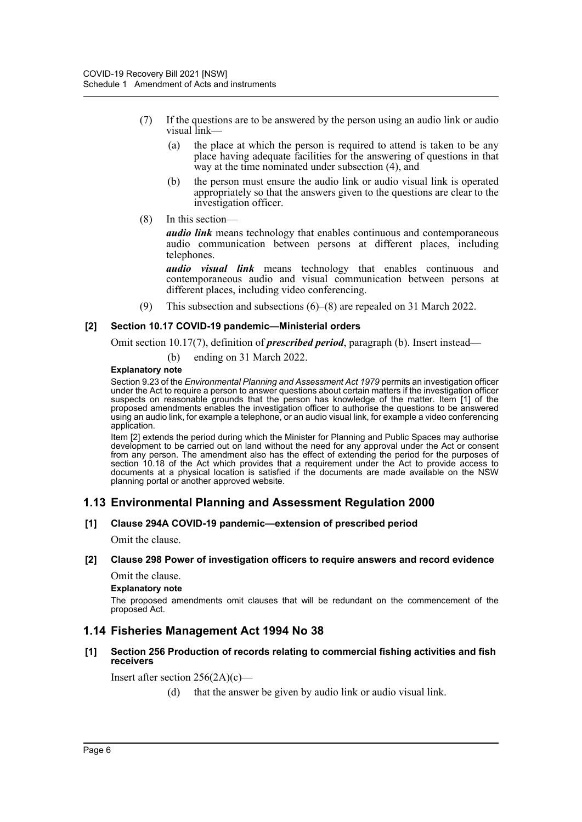- (7) If the questions are to be answered by the person using an audio link or audio visual link—
	- (a) the place at which the person is required to attend is taken to be any place having adequate facilities for the answering of questions in that way at the time nominated under subsection (4), and
	- (b) the person must ensure the audio link or audio visual link is operated appropriately so that the answers given to the questions are clear to the investigation officer.
- (8) In this section—

*audio link* means technology that enables continuous and contemporaneous audio communication between persons at different places, including telephones.

*audio visual link* means technology that enables continuous and contemporaneous audio and visual communication between persons at different places, including video conferencing.

(9) This subsection and subsections  $(6)$ – $(8)$  are repealed on 31 March 2022.

## **[2] Section 10.17 COVID-19 pandemic—Ministerial orders**

Omit section 10.17(7), definition of *prescribed period*, paragraph (b). Insert instead—

(b) ending on 31 March 2022.

#### **Explanatory note**

Section 9.23 of the *Environmental Planning and Assessment Act 1979* permits an investigation officer under the Act to require a person to answer questions about certain matters if the investigation officer suspects on reasonable grounds that the person has knowledge of the matter. Item [1] of the proposed amendments enables the investigation officer to authorise the questions to be answered using an audio link, for example a telephone, or an audio visual link, for example a video conferencing application.

Item [2] extends the period during which the Minister for Planning and Public Spaces may authorise development to be carried out on land without the need for any approval under the Act or consent from any person. The amendment also has the effect of extending the period for the purposes of section 10.18 of the Act which provides that a requirement under the Act to provide access to documents at a physical location is satisfied if the documents are made available on the NSW planning portal or another approved website.

# **1.13 Environmental Planning and Assessment Regulation 2000**

## **[1] Clause 294A COVID-19 pandemic—extension of prescribed period**

Omit the clause.

## **[2] Clause 298 Power of investigation officers to require answers and record evidence**

Omit the clause.

## **Explanatory note**

The proposed amendments omit clauses that will be redundant on the commencement of the proposed Act.

## **1.14 Fisheries Management Act 1994 No 38**

**[1] Section 256 Production of records relating to commercial fishing activities and fish receivers**

Insert after section 256(2A)(c)—

(d) that the answer be given by audio link or audio visual link.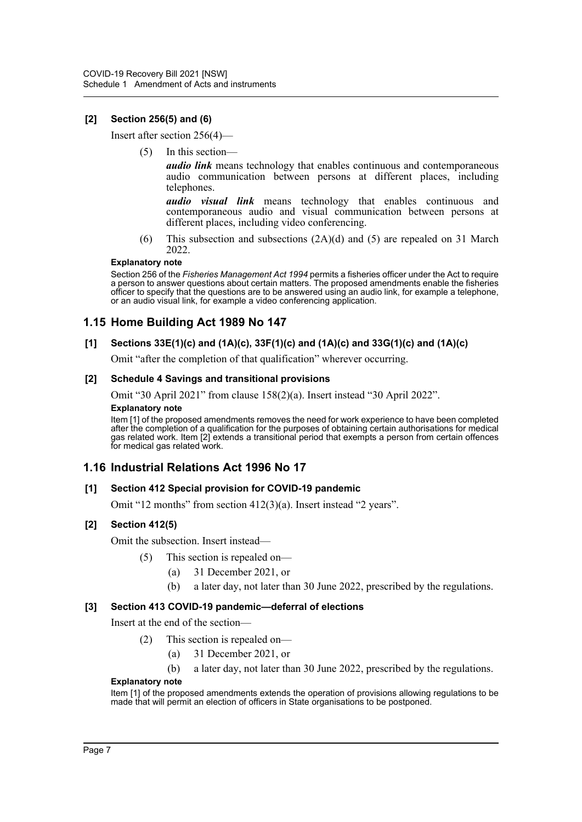## **[2] Section 256(5) and (6)**

Insert after section 256(4)—

(5) In this section—

*audio link* means technology that enables continuous and contemporaneous audio communication between persons at different places, including telephones.

*audio visual link* means technology that enables continuous and contemporaneous audio and visual communication between persons at different places, including video conferencing.

(6) This subsection and subsections (2A)(d) and (5) are repealed on 31 March 2022.

#### **Explanatory note**

Section 256 of the *Fisheries Management Act 1994* permits a fisheries officer under the Act to require a person to answer questions about certain matters. The proposed amendments enable the fisheries officer to specify that the questions are to be answered using an audio link, for example a telephone, or an audio visual link, for example a video conferencing application.

# **1.15 Home Building Act 1989 No 147**

## **[1] Sections 33E(1)(c) and (1A)(c), 33F(1)(c) and (1A)(c) and 33G(1)(c) and (1A)(c)**

Omit "after the completion of that qualification" wherever occurring.

## **[2] Schedule 4 Savings and transitional provisions**

Omit "30 April 2021" from clause 158(2)(a). Insert instead "30 April 2022".

#### **Explanatory note**

Item [1] of the proposed amendments removes the need for work experience to have been completed after the completion of a qualification for the purposes of obtaining certain authorisations for medical gas related work. Item [2] extends a transitional period that exempts a person from certain offences for medical gas related work.

# **1.16 Industrial Relations Act 1996 No 17**

## **[1] Section 412 Special provision for COVID-19 pandemic**

Omit "12 months" from section 412(3)(a). Insert instead "2 years".

## **[2] Section 412(5)**

Omit the subsection. Insert instead—

- (5) This section is repealed on—
	- (a) 31 December 2021, or
	- (b) a later day, not later than 30 June 2022, prescribed by the regulations.

## **[3] Section 413 COVID-19 pandemic—deferral of elections**

Insert at the end of the section—

- (2) This section is repealed on—
	- (a) 31 December 2021, or
	- (b) a later day, not later than 30 June 2022, prescribed by the regulations.

#### **Explanatory note**

Item [1] of the proposed amendments extends the operation of provisions allowing regulations to be made that will permit an election of officers in State organisations to be postponed.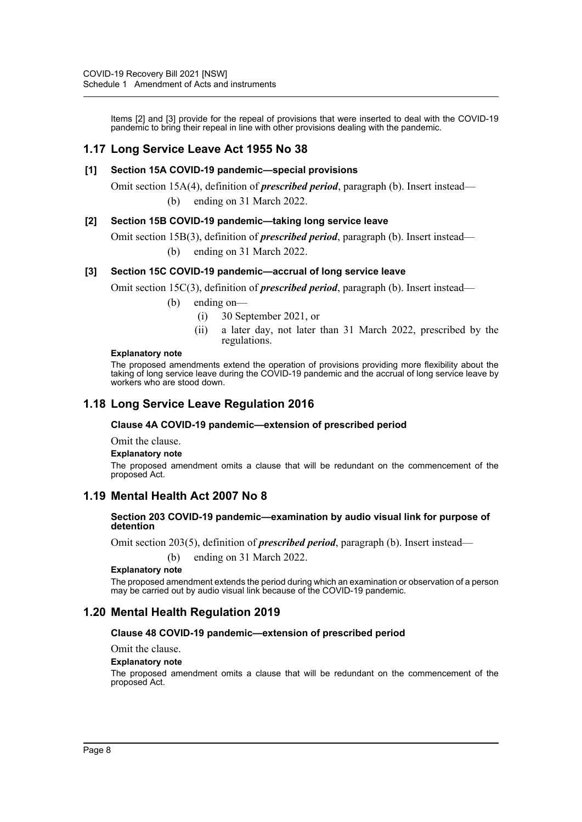Items [2] and [3] provide for the repeal of provisions that were inserted to deal with the COVID-19 pandemic to bring their repeal in line with other provisions dealing with the pandemic.

## **1.17 Long Service Leave Act 1955 No 38**

## **[1] Section 15A COVID-19 pandemic—special provisions**

Omit section 15A(4), definition of *prescribed period*, paragraph (b). Insert instead— (b) ending on 31 March 2022.

## **[2] Section 15B COVID-19 pandemic—taking long service leave**

Omit section 15B(3), definition of *prescribed period*, paragraph (b). Insert instead— (b) ending on 31 March 2022.

## **[3] Section 15C COVID-19 pandemic—accrual of long service leave**

Omit section 15C(3), definition of *prescribed period*, paragraph (b). Insert instead—

- (b) ending on—
	- (i) 30 September 2021, or
	- (ii) a later day, not later than 31 March 2022, prescribed by the regulations.

#### **Explanatory note**

The proposed amendments extend the operation of provisions providing more flexibility about the taking of long service leave during the COVID-19 pandemic and the accrual of long service leave by workers who are stood down.

# **1.18 Long Service Leave Regulation 2016**

#### **Clause 4A COVID-19 pandemic—extension of prescribed period**

Omit the clause.

#### **Explanatory note**

The proposed amendment omits a clause that will be redundant on the commencement of the proposed Act.

## **1.19 Mental Health Act 2007 No 8**

#### **Section 203 COVID-19 pandemic—examination by audio visual link for purpose of detention**

Omit section 203(5), definition of *prescribed period*, paragraph (b). Insert instead—

(b) ending on 31 March 2022.

#### **Explanatory note**

The proposed amendment extends the period during which an examination or observation of a person may be carried out by audio visual link because of the COVID-19 pandemic.

# **1.20 Mental Health Regulation 2019**

## **Clause 48 COVID-19 pandemic—extension of prescribed period**

## Omit the clause.

**Explanatory note**

The proposed amendment omits a clause that will be redundant on the commencement of the proposed Act.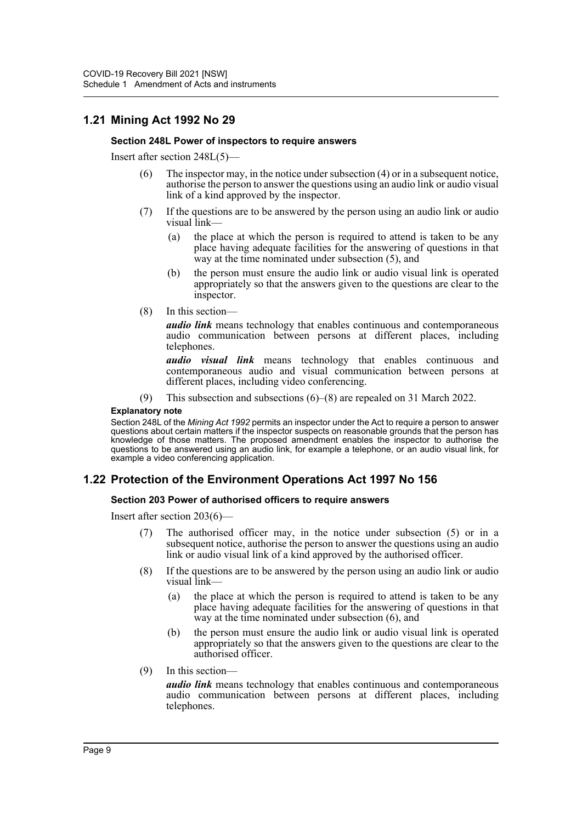# **1.21 Mining Act 1992 No 29**

#### **Section 248L Power of inspectors to require answers**

Insert after section 248L(5)—

- (6) The inspector may, in the notice under subsection (4) or in a subsequent notice, authorise the person to answer the questions using an audio link or audio visual link of a kind approved by the inspector.
- (7) If the questions are to be answered by the person using an audio link or audio visual link—
	- (a) the place at which the person is required to attend is taken to be any place having adequate facilities for the answering of questions in that way at the time nominated under subsection (5), and
	- (b) the person must ensure the audio link or audio visual link is operated appropriately so that the answers given to the questions are clear to the inspector.
- (8) In this section—

*audio link* means technology that enables continuous and contemporaneous audio communication between persons at different places, including telephones.

*audio visual link* means technology that enables continuous and contemporaneous audio and visual communication between persons at different places, including video conferencing.

(9) This subsection and subsections (6)–(8) are repealed on 31 March 2022.

#### **Explanatory note**

Section 248L of the *Mining Act 1992* permits an inspector under the Act to require a person to answer questions about certain matters if the inspector suspects on reasonable grounds that the person has knowledge of those matters. The proposed amendment enables the inspector to authorise the questions to be answered using an audio link, for example a telephone, or an audio visual link, for example a video conferencing application.

# **1.22 Protection of the Environment Operations Act 1997 No 156**

## **Section 203 Power of authorised officers to require answers**

Insert after section 203(6)—

- (7) The authorised officer may, in the notice under subsection (5) or in a subsequent notice, authorise the person to answer the questions using an audio link or audio visual link of a kind approved by the authorised officer.
- (8) If the questions are to be answered by the person using an audio link or audio visual link—
	- (a) the place at which the person is required to attend is taken to be any place having adequate facilities for the answering of questions in that way at the time nominated under subsection (6), and
	- (b) the person must ensure the audio link or audio visual link is operated appropriately so that the answers given to the questions are clear to the authorised officer.
- (9) In this section—

*audio link* means technology that enables continuous and contemporaneous audio communication between persons at different places, including telephones.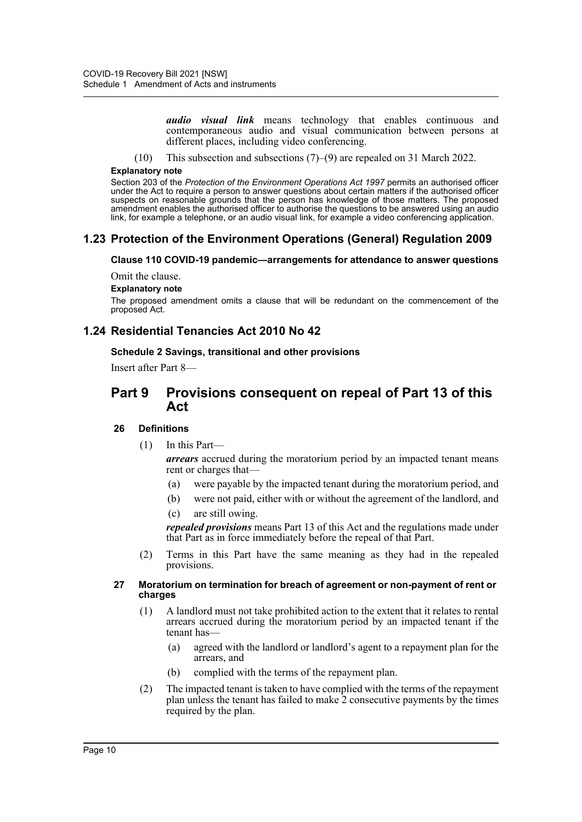*audio visual link* means technology that enables continuous and contemporaneous audio and visual communication between persons at different places, including video conferencing.

(10) This subsection and subsections (7)–(9) are repealed on 31 March 2022.

#### **Explanatory note**

Section 203 of the *Protection of the Environment Operations Act 1997* permits an authorised officer under the Act to require a person to answer questions about certain matters if the authorised officer suspects on reasonable grounds that the person has knowledge of those matters. The proposed amendment enables the authorised officer to authorise the questions to be answered using an audio link, for example a telephone, or an audio visual link, for example a video conferencing application.

# **1.23 Protection of the Environment Operations (General) Regulation 2009**

#### **Clause 110 COVID-19 pandemic—arrangements for attendance to answer questions**

Omit the clause.

#### **Explanatory note**

The proposed amendment omits a clause that will be redundant on the commencement of the proposed Act.

# **1.24 Residential Tenancies Act 2010 No 42**

## **Schedule 2 Savings, transitional and other provisions**

Insert after Part 8—

# **Part 9 Provisions consequent on repeal of Part 13 of this Act**

## **26 Definitions**

(1) In this Part—

*arrears* accrued during the moratorium period by an impacted tenant means rent or charges that—

- (a) were payable by the impacted tenant during the moratorium period, and
- (b) were not paid, either with or without the agreement of the landlord, and
- (c) are still owing.

*repealed provisions* means Part 13 of this Act and the regulations made under that Part as in force immediately before the repeal of that Part.

(2) Terms in this Part have the same meaning as they had in the repealed provisions.

#### **27 Moratorium on termination for breach of agreement or non-payment of rent or charges**

- (1) A landlord must not take prohibited action to the extent that it relates to rental arrears accrued during the moratorium period by an impacted tenant if the tenant has—
	- (a) agreed with the landlord or landlord's agent to a repayment plan for the arrears, and
	- (b) complied with the terms of the repayment plan.
- (2) The impacted tenant is taken to have complied with the terms of the repayment plan unless the tenant has failed to make 2 consecutive payments by the times required by the plan.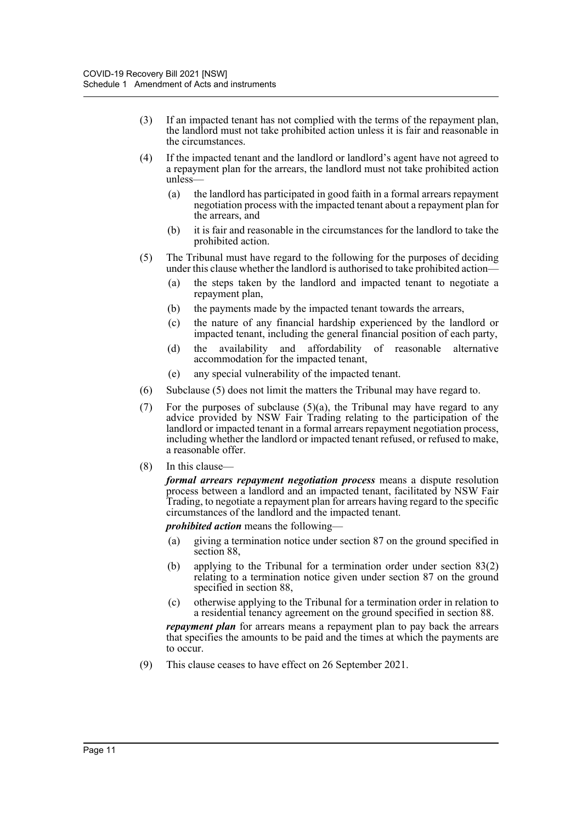- (3) If an impacted tenant has not complied with the terms of the repayment plan, the landlord must not take prohibited action unless it is fair and reasonable in the circumstances.
- (4) If the impacted tenant and the landlord or landlord's agent have not agreed to a repayment plan for the arrears, the landlord must not take prohibited action unless—
	- (a) the landlord has participated in good faith in a formal arrears repayment negotiation process with the impacted tenant about a repayment plan for the arrears, and
	- (b) it is fair and reasonable in the circumstances for the landlord to take the prohibited action.
- (5) The Tribunal must have regard to the following for the purposes of deciding under this clause whether the landlord is authorised to take prohibited action—
	- (a) the steps taken by the landlord and impacted tenant to negotiate a repayment plan,
	- (b) the payments made by the impacted tenant towards the arrears,
	- (c) the nature of any financial hardship experienced by the landlord or impacted tenant, including the general financial position of each party,
	- (d) the availability and affordability of reasonable alternative accommodation for the impacted tenant,
	- (e) any special vulnerability of the impacted tenant.
- (6) Subclause (5) does not limit the matters the Tribunal may have regard to.
- (7) For the purposes of subclause  $(5)(a)$ , the Tribunal may have regard to any advice provided by NSW Fair Trading relating to the participation of the landlord or impacted tenant in a formal arrears repayment negotiation process, including whether the landlord or impacted tenant refused, or refused to make, a reasonable offer.
- (8) In this clause—

*formal arrears repayment negotiation process* means a dispute resolution process between a landlord and an impacted tenant, facilitated by NSW Fair Trading, to negotiate a repayment plan for arrears having regard to the specific circumstances of the landlord and the impacted tenant.

*prohibited action* means the following—

- (a) giving a termination notice under section 87 on the ground specified in section 88.
- (b) applying to the Tribunal for a termination order under section 83(2) relating to a termination notice given under section 87 on the ground specified in section 88,
- (c) otherwise applying to the Tribunal for a termination order in relation to a residential tenancy agreement on the ground specified in section 88.

*repayment plan* for arrears means a repayment plan to pay back the arrears that specifies the amounts to be paid and the times at which the payments are to occur.

(9) This clause ceases to have effect on 26 September 2021.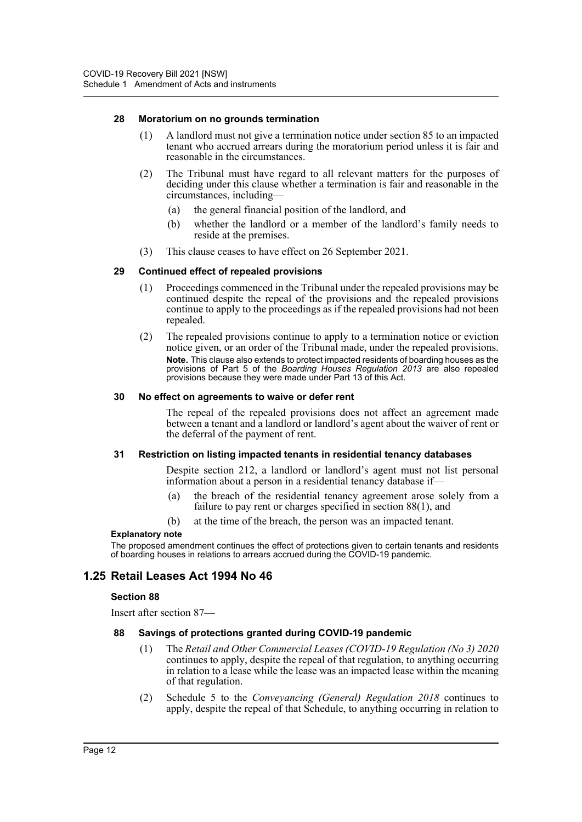## **28 Moratorium on no grounds termination**

- (1) A landlord must not give a termination notice under section 85 to an impacted tenant who accrued arrears during the moratorium period unless it is fair and reasonable in the circumstances.
- (2) The Tribunal must have regard to all relevant matters for the purposes of deciding under this clause whether a termination is fair and reasonable in the circumstances, including—
	- (a) the general financial position of the landlord, and
	- (b) whether the landlord or a member of the landlord's family needs to reside at the premises.
- (3) This clause ceases to have effect on 26 September 2021.

## **29 Continued effect of repealed provisions**

- (1) Proceedings commenced in the Tribunal under the repealed provisions may be continued despite the repeal of the provisions and the repealed provisions continue to apply to the proceedings as if the repealed provisions had not been repealed.
- (2) The repealed provisions continue to apply to a termination notice or eviction notice given, or an order of the Tribunal made, under the repealed provisions. **Note.** This clause also extends to protect impacted residents of boarding houses as the provisions of Part 5 of the *Boarding Houses Regulation 2013* are also repealed provisions because they were made under Part 13 of this Act.

#### **30 No effect on agreements to waive or defer rent**

The repeal of the repealed provisions does not affect an agreement made between a tenant and a landlord or landlord's agent about the waiver of rent or the deferral of the payment of rent.

#### **31 Restriction on listing impacted tenants in residential tenancy databases**

Despite section 212, a landlord or landlord's agent must not list personal information about a person in a residential tenancy database if—

- (a) the breach of the residential tenancy agreement arose solely from a failure to pay rent or charges specified in section 88(1), and
- (b) at the time of the breach, the person was an impacted tenant.

#### **Explanatory note**

The proposed amendment continues the effect of protections given to certain tenants and residents of boarding houses in relations to arrears accrued during the COVID-19 pandemic.

# **1.25 Retail Leases Act 1994 No 46**

## **Section 88**

Insert after section 87—

## **88 Savings of protections granted during COVID-19 pandemic**

- (1) The *Retail and Other Commercial Leases (COVID-19 Regulation (No 3) 2020* continues to apply, despite the repeal of that regulation, to anything occurring in relation to a lease while the lease was an impacted lease within the meaning of that regulation.
- (2) Schedule 5 to the *Conveyancing (General) Regulation 2018* continues to apply, despite the repeal of that Schedule, to anything occurring in relation to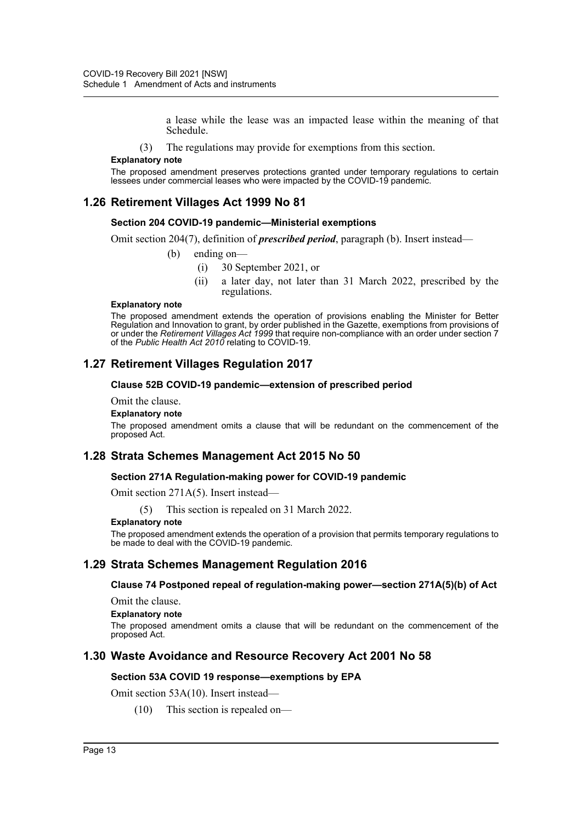a lease while the lease was an impacted lease within the meaning of that Schedule.

(3) The regulations may provide for exemptions from this section.

#### **Explanatory note**

The proposed amendment preserves protections granted under temporary regulations to certain lessees under commercial leases who were impacted by the COVID-19 pandemic.

## **1.26 Retirement Villages Act 1999 No 81**

#### **Section 204 COVID-19 pandemic—Ministerial exemptions**

Omit section 204(7), definition of *prescribed period*, paragraph (b). Insert instead—

- (b) ending on—
	- (i) 30 September 2021, or
	- (ii) a later day, not later than 31 March 2022, prescribed by the regulations.

#### **Explanatory note**

The proposed amendment extends the operation of provisions enabling the Minister for Better Regulation and Innovation to grant, by order published in the Gazette, exemptions from provisions of or under the *Retirement Villages Act 1999* that require non-compliance with an order under section 7 of the *Public Health Act 2010* relating to COVID-19.

## **1.27 Retirement Villages Regulation 2017**

#### **Clause 52B COVID-19 pandemic—extension of prescribed period**

Omit the clause.

#### **Explanatory note**

The proposed amendment omits a clause that will be redundant on the commencement of the proposed Act.

## **1.28 Strata Schemes Management Act 2015 No 50**

#### **Section 271A Regulation-making power for COVID-19 pandemic**

Omit section 271A(5). Insert instead—

(5) This section is repealed on 31 March 2022.

#### **Explanatory note**

The proposed amendment extends the operation of a provision that permits temporary regulations to be made to deal with the COVID-19 pandemic.

## **1.29 Strata Schemes Management Regulation 2016**

**Clause 74 Postponed repeal of regulation-making power—section 271A(5)(b) of Act**

Omit the clause.

**Explanatory note**

The proposed amendment omits a clause that will be redundant on the commencement of the proposed Act.

## **1.30 Waste Avoidance and Resource Recovery Act 2001 No 58**

#### **Section 53A COVID 19 response—exemptions by EPA**

Omit section 53A(10). Insert instead—

(10) This section is repealed on—